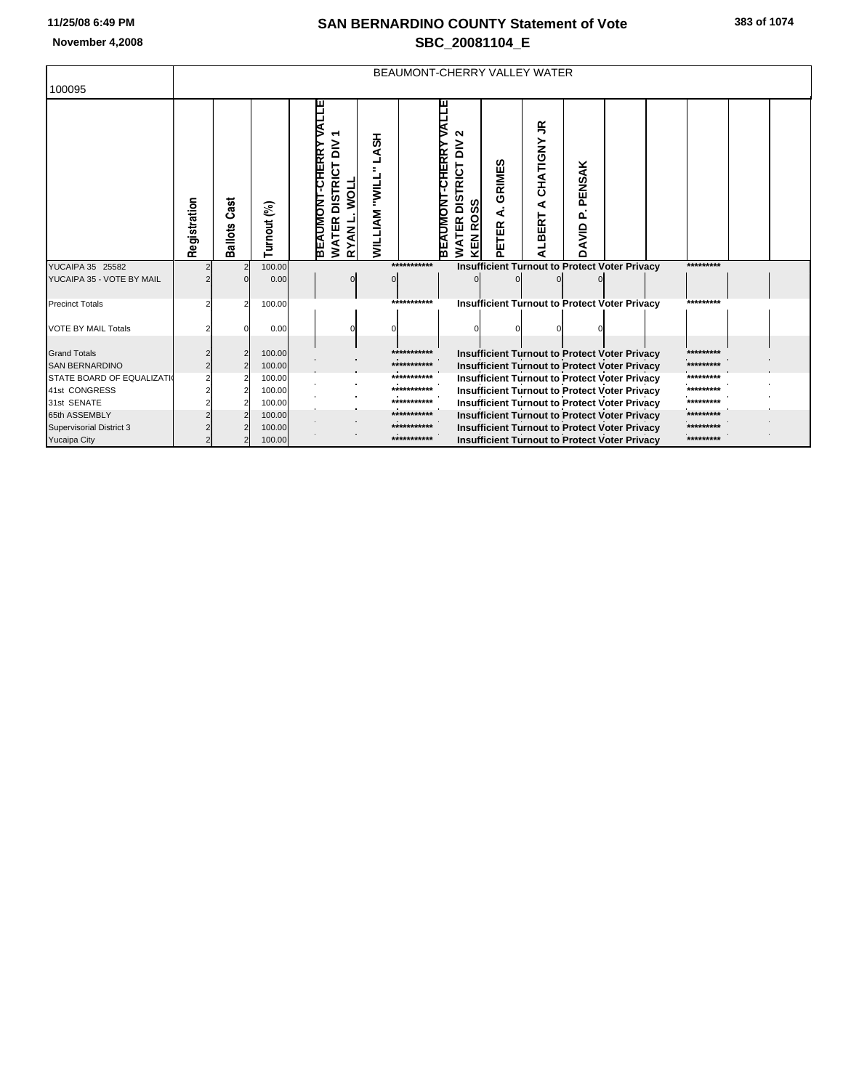## **SAN BERNARDINO COUNTY Statement of Vote November 4,2008 SBC\_20081104\_E**

|                                              | BEAUMONT-CHERRY VALLEY WATER |                 |                  |                                                                                                                                                                   |                            |                                                                                         |                      |                                                                                                              |                       |  |  |                        |  |
|----------------------------------------------|------------------------------|-----------------|------------------|-------------------------------------------------------------------------------------------------------------------------------------------------------------------|----------------------------|-----------------------------------------------------------------------------------------|----------------------|--------------------------------------------------------------------------------------------------------------|-----------------------|--|--|------------------------|--|
| 100095                                       |                              |                 |                  |                                                                                                                                                                   |                            |                                                                                         |                      |                                                                                                              |                       |  |  |                        |  |
|                                              | Registration                 | Cast<br>Ballots | Turnout (%)      | <b>ALLE</b><br><b>LASH</b><br>ξ<br><b>-CHERRY</b><br><b>DISTRICT</b><br>"אורר<br><b>MOLL</b><br><b>BEAUMONT</b><br><b>WILLIAM</b><br><b>WATER</b><br><b>RYANL</b> |                            | N<br>$\geq$<br><b>CHERRY</b><br><b>DISTRICT</b><br>BEAUMONI<br><b>KEN ROSS</b><br>WATER | GRIMES<br>∢<br>PETER | $\leq$<br>CHATIGNY<br>∢<br><b>BERT</b><br>₹                                                                  | PENSAK<br>o.<br>DAVID |  |  |                        |  |
| YUCAIPA 35 25582                             |                              |                 | 100.00           |                                                                                                                                                                   | ************               |                                                                                         |                      | <b>Insufficient Turnout to Protect Voter Privacy</b>                                                         |                       |  |  | *********              |  |
| YUCAIPA 35 - VOTE BY MAIL                    |                              |                 | 0.00             |                                                                                                                                                                   |                            |                                                                                         |                      |                                                                                                              |                       |  |  |                        |  |
| <b>Precinct Totals</b>                       |                              |                 | 100.00           |                                                                                                                                                                   | ***********                |                                                                                         |                      | <b>Insufficient Turnout to Protect Voter Privacy</b>                                                         |                       |  |  | *********              |  |
| <b>VOTE BY MAIL Totals</b>                   |                              |                 | 0.00             |                                                                                                                                                                   |                            |                                                                                         |                      |                                                                                                              |                       |  |  |                        |  |
|                                              |                              |                 |                  |                                                                                                                                                                   |                            |                                                                                         |                      |                                                                                                              |                       |  |  |                        |  |
| <b>Grand Totals</b><br><b>SAN BERNARDINO</b> |                              |                 | 100.00<br>100.00 |                                                                                                                                                                   | ***********<br>*********** |                                                                                         |                      | Insufficient Turnout to Protect Voter Privacy                                                                |                       |  |  | *********<br>********* |  |
| STATE BOARD OF EQUALIZATI                    |                              |                 | 100.00           |                                                                                                                                                                   | ***********                |                                                                                         |                      | <b>Insufficient Turnout to Protect Voter Privacy</b><br><b>Insufficient Turnout to Protect Voter Privacy</b> |                       |  |  | *********              |  |
| 41st CONGRESS                                |                              |                 | 100.00           |                                                                                                                                                                   | ***********                |                                                                                         |                      | <b>Insufficient Turnout to Protect Voter Privacy</b>                                                         |                       |  |  | *********              |  |
| 31st SENATE                                  |                              |                 | 100.00           |                                                                                                                                                                   | ***********                |                                                                                         |                      | <b>Insufficient Turnout to Protect Voter Privacy</b>                                                         |                       |  |  | *********              |  |
| 65th ASSEMBLY                                |                              |                 | 100.00           |                                                                                                                                                                   | ***********                |                                                                                         |                      | Insufficient Turnout to Protect Voter Privacy                                                                |                       |  |  | *********              |  |
| Supervisorial District 3                     |                              |                 | 100.00           |                                                                                                                                                                   | ***********                |                                                                                         |                      | <b>Insufficient Turnout to Protect Voter Privacy</b>                                                         |                       |  |  | *********              |  |
| <b>Yucaipa City</b>                          |                              |                 | 100.00           |                                                                                                                                                                   | ***********                |                                                                                         |                      | <b>Insufficient Turnout to Protect Voter Privacy</b>                                                         |                       |  |  | *********              |  |